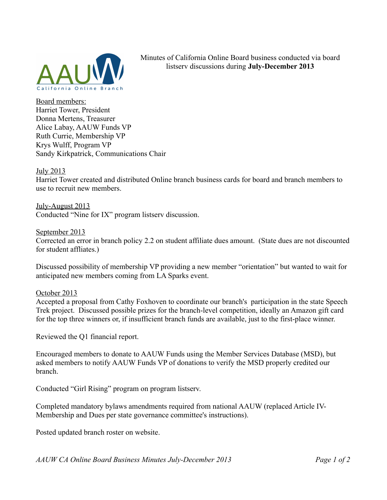

Minutes of California Online Board business conducted via board listserv discussions during **July-December 2013**

Board members: Harriet Tower, President Donna Mertens, Treasurer Alice Labay, AAUW Funds VP Ruth Currie, Membership VP Krys Wulff, Program VP Sandy Kirkpatrick, Communications Chair

## July 2013

Harriet Tower created and distributed Online branch business cards for board and branch members to use to recruit new members.

July-August 2013 Conducted "Nine for IX" program listserv discussion.

September 2013 Corrected an error in branch policy 2.2 on student affiliate dues amount. (State dues are not discounted for student affliates.)

Discussed possibility of membership VP providing a new member "orientation" but wanted to wait for anticipated new members coming from LA Sparks event.

October 2013

Accepted a proposal from Cathy Foxhoven to coordinate our branch's participation in the state Speech Trek project. Discussed possible prizes for the branch-level competition, ideally an Amazon gift card for the top three winners or, if insufficient branch funds are available, just to the first-place winner.

Reviewed the Q1 financial report.

Encouraged members to donate to AAUW Funds using the Member Services Database (MSD), but asked members to notify AAUW Funds VP of donations to verify the MSD properly credited our branch.

Conducted "Girl Rising" program on program listserv.

Completed mandatory bylaws amendments required from national AAUW (replaced Article IV-Membership and Dues per state governance committee's instructions).

Posted updated branch roster on website.

*AAUW CA Online Board Business Minutes July-December 2013 Page 1 of 2*